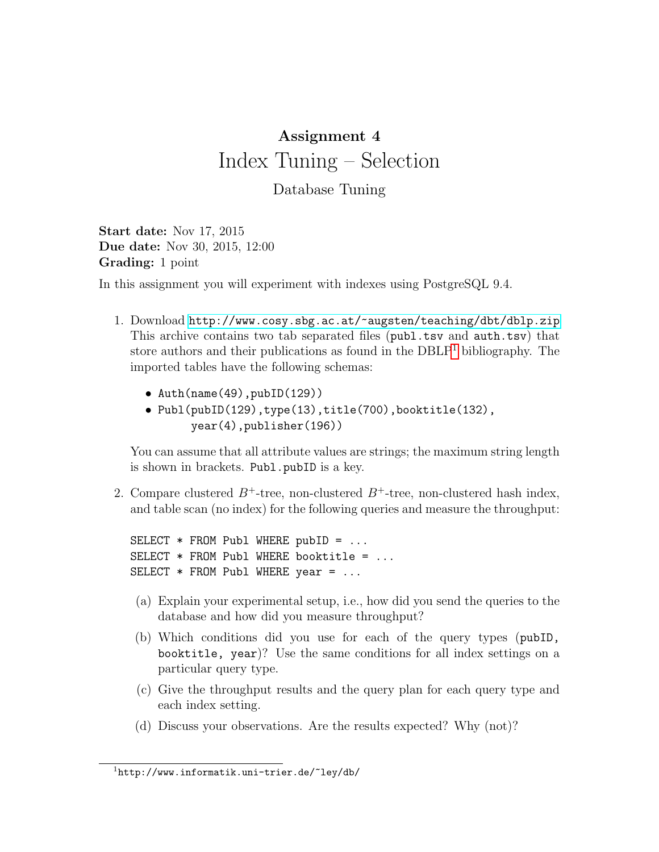## Assignment 4 Index Tuning – Selection

Database Tuning

Start date: Nov 17, 2015 Due date: Nov 30, 2015, 12:00 Grading: 1 point

In this assignment you will experiment with indexes using PostgreSQL 9.4.

- 1. Download <http://www.cosy.sbg.ac.at/~augsten/teaching/dbt/dblp.zip> This archive contains two tab separated files (publ.tsv and auth.tsv) that store authors and their publications as found in the  $DBLP<sup>1</sup>$  $DBLP<sup>1</sup>$  $DBLP<sup>1</sup>$  bibliography. The imported tables have the following schemas:
	- $\bullet$  Auth(name(49), pubID(129))
	- Publ(pubID(129),type(13),title(700),booktitle(132), year(4),publisher(196))

You can assume that all attribute values are strings; the maximum string length is shown in brackets. Publ.pubID is a key.

2. Compare clustered  $B^+$ -tree, non-clustered  $B^+$ -tree, non-clustered hash index, and table scan (no index) for the following queries and measure the throughput:

SELECT  $*$  FROM Publ WHERE pubID =  $\ldots$ SELECT  $*$  FROM Publ WHERE booktitle = ... SELECT \* FROM Publ WHERE year = ...

- (a) Explain your experimental setup, i.e., how did you send the queries to the database and how did you measure throughput?
- (b) Which conditions did you use for each of the query types (pubID, booktitle, year)? Use the same conditions for all index settings on a particular query type.
- (c) Give the throughput results and the query plan for each query type and each index setting.
- (d) Discuss your observations. Are the results expected? Why (not)?

<span id="page-0-0"></span> $1$ http://www.informatik.uni-trier.de/~ley/db/